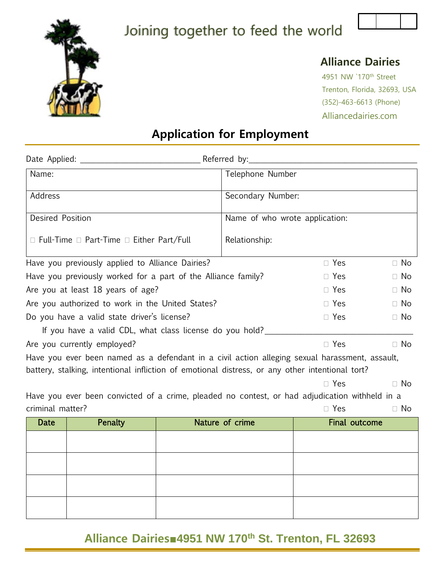

# Joining together to feed the world



#### **Alliance Dairies**

4951 NW `170th Street Trenton, Florida, 32693, USA (352)-463-6613 (Phone) Alliancedairies.com

# **Application for Employment**

| Name:                                                                                                                                                                                             |                                                                                                |  | Telephone Number                 |            |           |
|---------------------------------------------------------------------------------------------------------------------------------------------------------------------------------------------------|------------------------------------------------------------------------------------------------|--|----------------------------------|------------|-----------|
| Address                                                                                                                                                                                           |                                                                                                |  | Secondary Number:                |            |           |
| <b>Desired Position</b>                                                                                                                                                                           |                                                                                                |  | Name of who wrote application:   |            |           |
|                                                                                                                                                                                                   | $\Box$ Full-Time $\Box$ Part-Time $\Box$ Either Part/Full                                      |  | Relationship:                    |            |           |
| Have you previously applied to Alliance Dairies?                                                                                                                                                  |                                                                                                |  |                                  | $\Box$ Yes | $\Box$ No |
|                                                                                                                                                                                                   | Have you previously worked for a part of the Alliance family?                                  |  |                                  | $\Box$ Yes | $\Box$ No |
|                                                                                                                                                                                                   | Are you at least 18 years of age?                                                              |  |                                  | $\Box$ Yes | $\Box$ No |
| Are you authorized to work in the United States?                                                                                                                                                  |                                                                                                |  |                                  | $\Box$ Yes | $\Box$ No |
| Do you have a valid state driver's license?                                                                                                                                                       |                                                                                                |  | $\Box$ Yes                       | $\Box$ No  |           |
|                                                                                                                                                                                                   | If you have a valid CDL, what class license do you hold?                                       |  |                                  |            |           |
| Are you currently employed?                                                                                                                                                                       |                                                                                                |  | $\Box$ Yes                       | $\Box$ No  |           |
| Have you ever been named as a defendant in a civil action alleging sexual harassment, assault,<br>battery, stalking, intentional infliction of emotional distress, or any other intentional tort? |                                                                                                |  |                                  |            |           |
| $\Box$ Yes                                                                                                                                                                                        |                                                                                                |  |                                  | $\Box$ No  |           |
|                                                                                                                                                                                                   | Have you ever been convicted of a crime, pleaded no contest, or had adjudication withheld in a |  |                                  |            |           |
| criminal matter?                                                                                                                                                                                  |                                                                                                |  |                                  | $\Box$ Yes | $\Box$ No |
| Date                                                                                                                                                                                              | Penalty                                                                                        |  | Nature of crime<br>Final outcome |            |           |
|                                                                                                                                                                                                   |                                                                                                |  |                                  |            |           |
|                                                                                                                                                                                                   |                                                                                                |  |                                  |            |           |
|                                                                                                                                                                                                   |                                                                                                |  |                                  |            |           |
|                                                                                                                                                                                                   |                                                                                                |  |                                  |            |           |

### **Alliance Dairies■4951 NW 170th St. Trenton, FL 32693**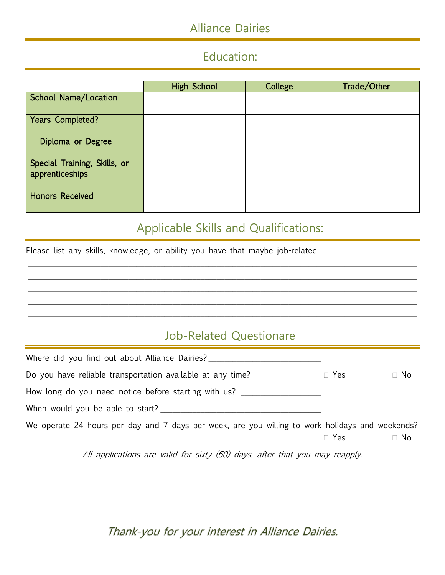# Alliance Dairies

# Education:

|                                                 | <b>High School</b> | College | Trade/Other |
|-------------------------------------------------|--------------------|---------|-------------|
| <b>School Name/Location</b>                     |                    |         |             |
| Years Completed?                                |                    |         |             |
| Diploma or Degree                               |                    |         |             |
| Special Training, Skills, or<br>apprenticeships |                    |         |             |
| <b>Honors Received</b>                          |                    |         |             |

## Applicable Skills and Qualifications:

\_\_\_\_\_\_\_\_\_\_\_\_\_\_\_\_\_\_\_\_\_\_\_\_\_\_\_\_\_\_\_\_\_\_\_\_\_\_\_\_\_\_\_\_\_\_\_\_\_\_\_\_\_\_\_\_\_\_\_\_\_\_\_\_\_\_\_\_\_\_\_\_\_\_\_\_\_\_\_\_\_\_\_\_\_\_\_\_\_\_\_\_\_\_\_\_\_ \_\_\_\_\_\_\_\_\_\_\_\_\_\_\_\_\_\_\_\_\_\_\_\_\_\_\_\_\_\_\_\_\_\_\_\_\_\_\_\_\_\_\_\_\_\_\_\_\_\_\_\_\_\_\_\_\_\_\_\_\_\_\_\_\_\_\_\_\_\_\_\_\_\_\_\_\_\_\_\_\_\_\_\_\_\_\_\_\_\_\_\_\_\_\_\_\_ \_\_\_\_\_\_\_\_\_\_\_\_\_\_\_\_\_\_\_\_\_\_\_\_\_\_\_\_\_\_\_\_\_\_\_\_\_\_\_\_\_\_\_\_\_\_\_\_\_\_\_\_\_\_\_\_\_\_\_\_\_\_\_\_\_\_\_\_\_\_\_\_\_\_\_\_\_\_\_\_\_\_\_\_\_\_\_\_\_\_\_\_\_\_\_\_\_ \_\_\_\_\_\_\_\_\_\_\_\_\_\_\_\_\_\_\_\_\_\_\_\_\_\_\_\_\_\_\_\_\_\_\_\_\_\_\_\_\_\_\_\_\_\_\_\_\_\_\_\_\_\_\_\_\_\_\_\_\_\_\_\_\_\_\_\_\_\_\_\_\_\_\_\_\_\_\_\_\_\_\_\_\_\_\_\_\_\_\_\_\_\_\_\_\_ \_\_\_\_\_\_\_\_\_\_\_\_\_\_\_\_\_\_\_\_\_\_\_\_\_\_\_\_\_\_\_\_\_\_\_\_\_\_\_\_\_\_\_\_\_\_\_\_\_\_\_\_\_\_\_\_\_\_\_\_\_\_\_\_\_\_\_\_\_\_\_\_\_\_\_\_\_\_\_\_\_\_\_\_\_\_\_\_\_\_\_\_\_\_\_\_\_

Please list any skills, knowledge, or ability you have that maybe job-related.

# Job-Related Questionare

| Where did you find out about Alliance Dairies?                                                  |            |           |
|-------------------------------------------------------------------------------------------------|------------|-----------|
| Do you have reliable transportation available at any time?                                      | $\Box$ Yes | $\Box$ No |
| How long do you need notice before starting with us?                                            |            |           |
| When would you be able to start?                                                                |            |           |
| We operate 24 hours per day and 7 days per week, are you willing to work holidays and weekends? | $\Box$ Yes | $\Box$ No |

All applications are valid for sixty (60) days, after that you may reapply.

Thank-you for your interest in Alliance Dairies.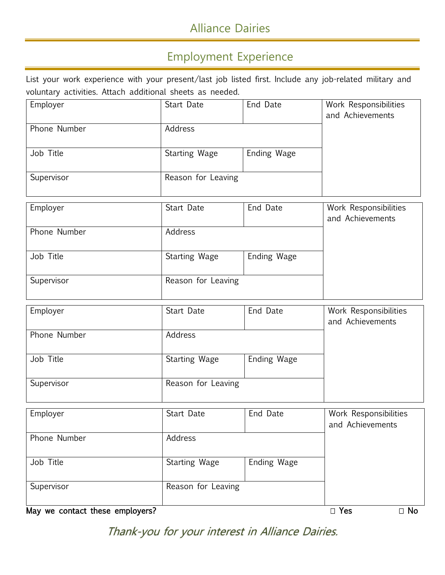# Alliance Dairies

### Employment Experience

List your work experience with your present/last job listed first. Include any job-related military and voluntary activities. Attach additional sheets as needed.

| Employer     | Start Date         | End Date    | Work Responsibilities<br>and Achievements |
|--------------|--------------------|-------------|-------------------------------------------|
| Phone Number | Address            |             |                                           |
| Job Title    | Starting Wage      | Ending Wage |                                           |
| Supervisor   | Reason for Leaving |             |                                           |
| Employer     | Start Date         | End Date    | Work Responsibilities                     |

| LUPIOYO      | Juan Dav           | LIIU DULU   | <b>TOUR INCOPORTIONING</b><br>and Achievements |
|--------------|--------------------|-------------|------------------------------------------------|
| Phone Number | Address            |             |                                                |
| Job Title    | Starting Wage      | Ending Wage |                                                |
| Supervisor   | Reason for Leaving |             |                                                |

| Employer     | Start Date         | End Date    | Work Responsibilities<br>and Achievements |
|--------------|--------------------|-------------|-------------------------------------------|
| Phone Number | Address            |             |                                           |
| Job Title    | Starting Wage      | Ending Wage |                                           |
| Supervisor   | Reason for Leaving |             |                                           |

| Employer     | Start Date         | End Date    | Work Responsibilities<br>and Achievements |
|--------------|--------------------|-------------|-------------------------------------------|
| Phone Number | Address            |             |                                           |
| Job Title    | Starting Wage      | Ending Wage |                                           |
| Supervisor   | Reason for Leaving |             |                                           |

May we contact these employers?  $\Box$  Yes  $\Box$  No

Thank-you for your interest in Alliance Dairies.